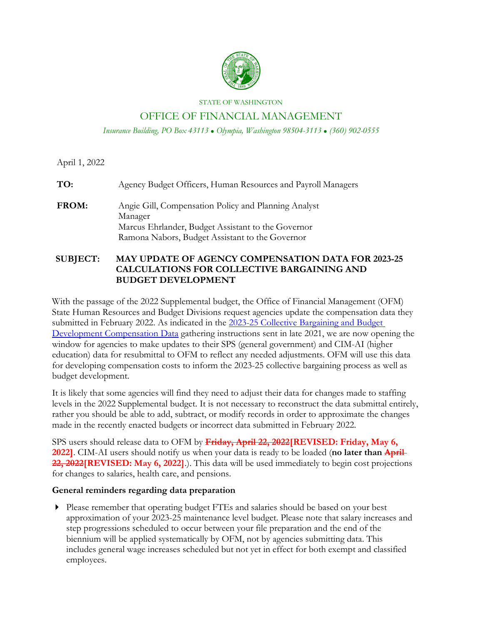

#### STATE OF WASHINGTON

## OFFICE OF FINANCIAL MANAGEMENT

*Insurance Building, PO Box 43113 Olympia, Washington 98504-3113 (360) 902-0555*

April 1, 2022

**TO:** Agency Budget Officers, Human Resources and Payroll Managers **FROM:** Angie Gill, Compensation Policy and Planning Analyst Manager Marcus Ehrlander, Budget Assistant to the Governor Ramona Nabors, Budget Assistant to the Governor

### **SUBJECT: MAY UPDATE OF AGENCY COMPENSATION DATA FOR 2023-25 CALCULATIONS FOR COLLECTIVE BARGAINING AND BUDGET DEVELOPMENT**

With the passage of the 2022 Supplemental budget, the Office of Financial Management (OFM) State Human Resources and Budget Divisions request agencies update the compensation data they submitted in February 2022. As indicated in the [2023-25 Collective Bargaining and Budget](https://ofm.wa.gov/sites/default/files/public/legacy/agencycommunications/FY2022/CompDataMemo23-25.pdf)  [Development Compensation Data](https://ofm.wa.gov/sites/default/files/public/legacy/agencycommunications/FY2022/CompDataMemo23-25.pdf) gathering instructions sent in late 2021, we are now opening the window for agencies to make updates to their SPS (general government) and CIM-AI (higher education) data for resubmittal to OFM to reflect any needed adjustments. OFM will use this data for developing compensation costs to inform the 2023-25 collective bargaining process as well as budget development.

It is likely that some agencies will find they need to adjust their data for changes made to staffing levels in the 2022 Supplemental budget. It is not necessary to reconstruct the data submittal entirely, rather you should be able to add, subtract, or modify records in order to approximate the changes made in the recently enacted budgets or incorrect data submitted in February 2022.

SPS users should release data to OFM by **Friday, April 22, 2022[REVISED: Friday, May 6, 2022]**. CIM-AI users should notify us when your data is ready to be loaded (**no later than April 22, 2022[REVISED: May 6, 2022]**.). This data will be used immediately to begin cost projections for changes to salaries, health care, and pensions.

### **General reminders regarding data preparation**

 Please remember that operating budget FTEs and salaries should be based on your best approximation of your 2023-25 maintenance level budget. Please note that salary increases and step progressions scheduled to occur between your file preparation and the end of the biennium will be applied systematically by OFM, not by agencies submitting data. This includes general wage increases scheduled but not yet in effect for both exempt and classified employees.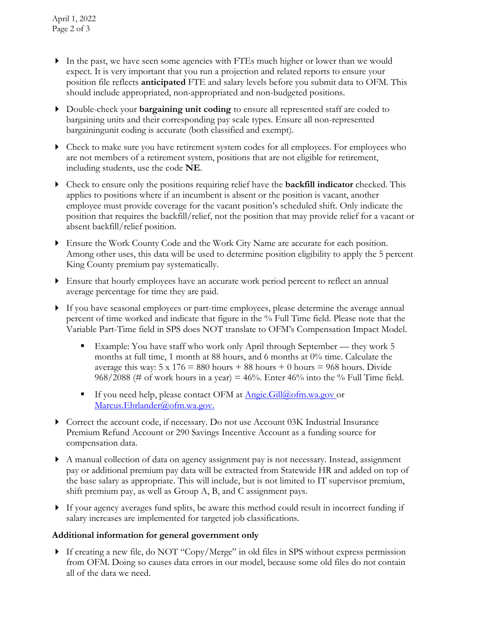- In the past, we have seen some agencies with FTEs much higher or lower than we would expect. It is very important that you run a projection and related reports to ensure your position file reflects **anticipated** FTE and salary levels before you submit data to OFM. This should include appropriated, non-appropriated and non-budgeted positions.
- Double-check your **bargaining unit coding** to ensure all represented staff are coded to bargaining units and their corresponding pay scale types. Ensure all non-represented bargaining unit coding is accurate (both classified and exempt).
- Check to make sure you have retirement system codes for all employees. For employees who are not members of a retirement system, positions that are not eligible for retirement, including students, use the code **NE**.
- Check to ensure only the positions requiring relief have the **backfill indicator** checked. This applies to positions where if an incumbent is absent or the position is vacant, another employee must provide coverage for the vacant position's scheduled shift. Only indicate the position that requires the backfill/relief, not the position that may provide relief for a vacant or absent backfill/relief position.
- Ensure the Work County Code and the Work City Name are accurate for each position. Among other uses, this data will be used to determine position eligibility to apply the 5 percent King County premium pay systematically.
- Ensure that hourly employees have an accurate work period percent to reflect an annual average percentage for time they are paid.
- If you have seasonal employees or part-time employees, please determine the average annual percent of time worked and indicate that figure in the % Full Time field. Please note that the Variable Part-Time field in SPS does NOT translate to OFM's Compensation Impact Model.
	- Example: You have staff who work only April through September they work 5 months at full time, 1 month at 88 hours, and 6 months at 0% time. Calculate the average this way:  $5 \times 176 = 880$  hours  $+ 88$  hours  $+ 0$  hours  $= 968$  hours. Divide 968/2088 (# of work hours in a year) =  $46\%$ . Enter  $46\%$  into the % Full Time field.
	- If you need help, please contact OFM at [Angie.Gill@ofm.wa.gov o](mailto:Angie.Gill@ofm.wa.gov)r Marcus.Ehrlander@ofm.wa.gov.
- Correct the account code, if necessary. Do not use Account 03K Industrial Insurance Premium Refund Account or 290 Savings Incentive Account as a funding source for compensation data.
- A manual collection of data on agency assignment pay is not necessary. Instead, assignment pay or additional premium pay data will be extracted from Statewide HR and added on top of the base salary as appropriate. This will include, but is not limited to IT supervisor premium, shift premium pay, as well as Group A, B, and C assignment pays.
- If your agency averages fund splits, be aware this method could result in incorrect funding if salary increases are implemented for targeted job classifications.

# **Additional information for general government only**

 If creating a new file, do NOT "Copy/Merge" in old files in SPS without express permission from OFM. Doing so causes data errors in our model, because some old files do not contain all of the data we need.